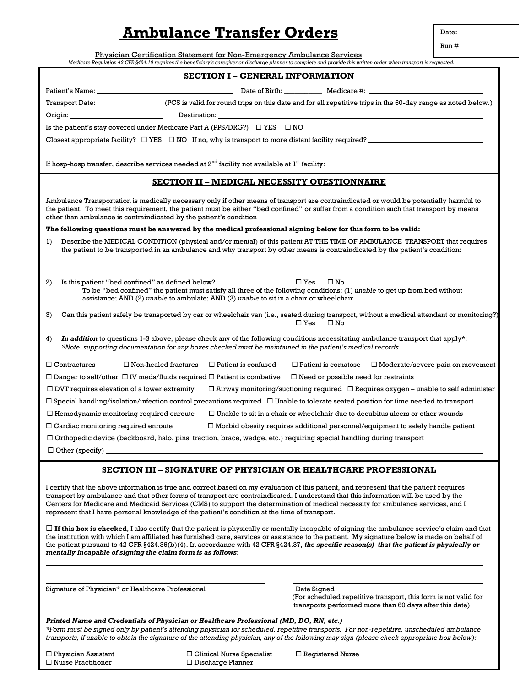# **Ambulance Transfer Orders**

 $\mathsf{Data}$ :  $Run#$ 

Physician Certification Statement for Non-Emergency Ambulance Services Medicare Regulation 42 CFR §424.10 reguires the beneficiary's caregiver or discharge planner to complete and provide this written order when transport is requested.

### **SECTION I – GENERAL INFORMATION**

Patient's Name: Date of Birth: \_\_\_\_\_\_\_\_\_\_\_ Medicare #:

Transport Date: \_\_\_\_\_\_\_\_\_\_\_\_\_\_\_\_\_\_\_\_\_\_\_ (PCS is valid for round trips on this date and for all repetitive trips in the 60-day range as noted below.)

Origin: Destination:

Is the patient's stay covered under Medicare Part A (PPS/DRG?)  $\Box$  YES  $\Box$  NO

Closest appropriate facility?  $\Box$  YES  $\Box$  NO If no, why is transport to more distant facility required?

If hosp-hosp transfer, describe services needed at  $2^{\text{nd}}$  facility not available at  $1^{\text{st}}$  facility:

## **SECTION II – MEDICAL NECESSITY QUESTIONNAIRE**

Ambulance Transportation is medically necessary only if other means of transport are contraindicated or would be potentially harmful to the patient. To meet this requirement, the patient must be either "bed confined" or suffer from a condition such that transport by means other than ambulance is contraindicated by the patient's condition

#### **The following questions must be answered by the medical professional signing below for this form to be valid:**

1) Describe the MEDICAL CONDITION (physical and/or mental) of this patient AT THE TIME OF AMBULANCE TRANSPORT that requires the patient to be transported in an ambulance and why transport by other means is contraindicated by the patient's condition:

| 2) Is this patient "bed confined" as defined below?                                                                        | $\Box$ Yes $\Box$ No |  |  |
|----------------------------------------------------------------------------------------------------------------------------|----------------------|--|--|
| To be "bed confined" the patient must satisfy all three of the following conditions: (1) unable to get up from bed without |                      |  |  |
| assistance; AND (2) unable to ambulate; AND (3) unable to sit in a chair or wheelchair                                     |                      |  |  |

| 3) Can this patient safely be transported by car or wheelchair van (i.e., seated during transport, without a medical attendant or monitoring?) |
|------------------------------------------------------------------------------------------------------------------------------------------------|
| $\square$ Yes $\square$ No                                                                                                                     |

In addition to questions 1-3 above, please check any of the following conditions necessitating ambulance transport that apply\*: *\*Note: supporting documentation for any boxes checked must be maintained in the patient's medical records*

| $\Box$ Contractures                                                                                                                             | $\Box$ Non-healed fractures                                                            | $\Box$ Patient is confused                                                             | $\Box$ Patient is comatose                  | $\Box$ Moderate/severe pain on movement                                                         |  |
|-------------------------------------------------------------------------------------------------------------------------------------------------|----------------------------------------------------------------------------------------|----------------------------------------------------------------------------------------|---------------------------------------------|-------------------------------------------------------------------------------------------------|--|
|                                                                                                                                                 | $\Box$ Danger to self/other $\Box$ IV meds/fluids required $\Box$ Patient is combative |                                                                                        | $\Box$ Need or possible need for restraints |                                                                                                 |  |
|                                                                                                                                                 | $\Box$ DVT requires elevation of a lower extremity                                     |                                                                                        |                                             | $\Box$ Airway monitoring/suctioning required $\Box$ Requires oxygen – unable to self administer |  |
| $\Box$ Special handling/isolation/infection control precautions required $\Box$ Unable to tolerate seated position for time needed to transport |                                                                                        |                                                                                        |                                             |                                                                                                 |  |
|                                                                                                                                                 | $\Box$ Hemodynamic monitoring required enroute                                         |                                                                                        |                                             | $\Box$ Unable to sit in a chair or wheelchair due to decubitus ulcers or other wounds           |  |
| $\Box$ Cardiac monitoring required enroute                                                                                                      |                                                                                        | $\Box$ Morbid obesity requires additional personnel/equipment to safely handle patient |                                             |                                                                                                 |  |
| $\Box$ Orthopedic device (backboard, halo, pins, traction, brace, wedge, etc.) requiring special handling during transport                      |                                                                                        |                                                                                        |                                             |                                                                                                 |  |

 $\Box$  Other (specify)

#### **SECTION III – SIGNATURE OF PHYSICIAN OR HEALTHCARE PROFESSIONAL**

I certify that the above information is true and correct based on my evaluation of this patient, and represent that the patient requires transport by ambulance and that other forms of transport are contraindicated. I understand that this information will be used by the Centers for Medicare and Medicaid Services (CMS) to support the determination of medical necessity for ambulance services, and I represent that I have personal knowledge of the patient's condition at the time of transport.

 $\Box$  If this box is checked, I also certify that the patient is physically or mentally incapable of signing the ambulance service's claim and that the institution with which I am affiliated has furnished care, services or assistance to the patient. My signature below is made on behalf of the patient pursuant to 42 CFR §424.36(b)(4). In accordance with 42 CFR §424.37, *the specific reason(s) that the patient is physically or mentally incapable of signing the claim form is as follows*:

Signature of Physician\* or Healthcare Professional **Date Signed** Date Signed

 (For scheduled repetitive transport, this form is not valid for transports performed more than 60 days after this date).

*Printed Name and Credentials of Physician or Healthcare Professional (MD, DO, RN, etc.) \*Form must be signed only by patient's attending physician for scheduled, repetitive transports. For non-repetitive, unscheduled ambulance transports, if unable to obtain the signature of the attending physician, any of the following may sign (please check appropriate box below):*

□ Physician Assistant □ Clinical Nurse Specialist □ Registered Nurse<br>□ Nurse Practitioner □ Discharge Planner  $\Box$  Discharge Planner